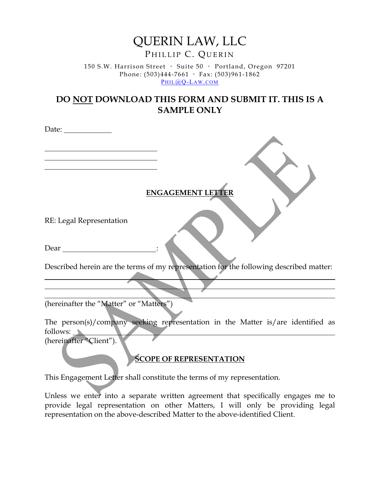# QUERIN LAW, LLC PHILLIP C. QUERIN

150 S.W. Harrison Street · Suite 50 · Portland, Oregon 97201 Phone:  $(503)444-7661$  · Fax:  $(503)961-1862$ PHIL<sub>(a)</sub>Q-LAW.COM

## **DO NOT DOWNLOAD THIS FORM AND SUBMIT IT. THIS IS A SAMPLE ONLY**

**ENGAGEMENT LETTER**

RE: Legal Representation

Date:

Dear  $\overline{a}$ 

Described herein are the terms of my representation for the following described matter:

(hereinafter the "Matter" or "Matters")

The person(s)/company seeking representation in the Matter is/are identified as follows:

(hereinafter "Client").

#### **SCOPE OF REPRESENTATION**

This Engagement Letter shall constitute the terms of my representation.

Unless we enter into a separate written agreement that specifically engages me to provide legal representation on other Matters, I will only be providing legal representation on the above-described Matter to the above-identified Client.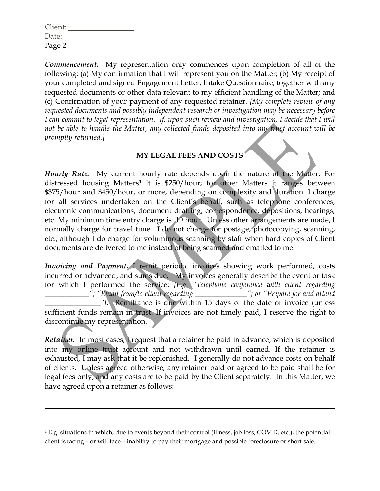| Client: |  |
|---------|--|
| Date:   |  |
| Page 2  |  |

*Commencement.* My representation only commences upon completion of all of the following: (a) My confirmation that I will represent you on the Matter; (b) My receipt of your completed and signed Engagement Letter, Intake Questionnaire, together with any requested documents or other data relevant to my efficient handling of the Matter; and (c) Confirmation of your payment of any requested retainer. *[My complete review of any requested documents and possibly independent research or investigation may be necessary before I can commit to legal representation. If, upon such review and investigation, I decide that I will not be able to handle the Matter, any collected funds deposited into my trust account will be promptly returned.]*

### **MY LEGAL FEES AND COSTS**

*Hourly Rate.* My current hourly rate depends upon the nature of the Matter: For distressed housing Matters<sup>[1](#page-1-0)</sup> it is \$250/hour; for other Matters it ranges between \$375/hour and \$450/hour, or more, depending on complexity and duration. I charge for all services undertaken on the Client's behalf, such as telephone conferences, electronic communications, document drafting, correspondence, depositions, hearings, etc. My minimum time entry charge is .10 hour. Unless other arrangements are made, I normally charge for travel time. I do not charge for postage, photocopying, scanning, etc., although I do charge for voluminous scanning by staff when hard copies of Client documents are delivered to me instead of being scanned and emailed to me.

*Invoicing and Payment.* I remit periodic invoices showing work performed, costs incurred or advanced, and sums due. My invoices generally describe the event or task for which I performed the service: *[E.g. "Telephone conference with client regarding \_\_\_\_\_\_\_\_\_\_\_\_"; "Email from/to client regarding \_\_\_\_\_\_\_\_\_\_\_\_\_\_"; or "Prepare for and attend \_\_\_\_\_\_\_\_\_\_\_\_\_\_\_"]*. Remittance is due within 15 days of the date of invoice (unless sufficient funds remain in trust. If invoices are not timely paid, I reserve the right to discontinue my representation.

*Retainer.* In most cases, I request that a retainer be paid in advance, which is deposited into my online trust account and not withdrawn until earned. If the retainer is exhausted, I may ask that it be replenished. I generally do not advance costs on behalf of clients. Unless agreed otherwise, any retainer paid or agreed to be paid shall be for legal fees only, and any costs are to be paid by the Client separately. In this Matter, we have agreed upon a retainer as follows:

<span id="page-1-0"></span><sup>1</sup> E.g. situations in which, due to events beyond their control (illness, job loss, COVID, etc.), the potential client is facing – or will face – inability to pay their mortgage and possible foreclosure or short sale.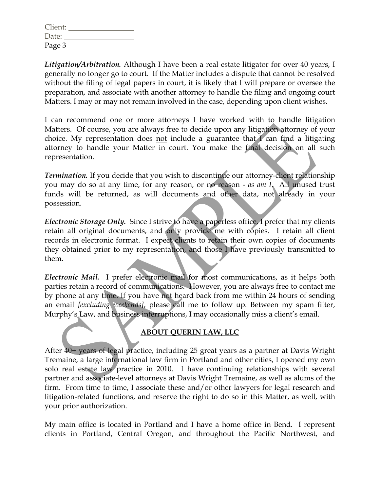| Client: |  |
|---------|--|
| Date:   |  |
| Page 3  |  |

*Litigation/Arbitration.* Although I have been a real estate litigator for over 40 years, I generally no longer go to court. If the Matter includes a dispute that cannot be resolved without the filing of legal papers in court, it is likely that I will prepare or oversee the preparation, and associate with another attorney to handle the filing and ongoing court Matters. I may or may not remain involved in the case, depending upon client wishes.

I can recommend one or more attorneys I have worked with to handle litigation Matters. Of course, you are always free to decide upon any litigation attorney of your choice. My representation does not include a guarantee that I can find a litigating attorney to handle your Matter in court. You make the final decision on all such representation.

*Termination.* If you decide that you wish to discontinue our attorney-client relationship you may do so at any time, for any reason, or no reason - *as am I*. All unused trust funds will be returned, as will documents and other data, not already in your possession.

*Electronic Storage Only.* Since I strive to have a paperless office, I prefer that my clients retain all original documents, and only provide me with copies. I retain all client records in electronic format. I expect clients to retain their own copies of documents they obtained prior to my representation, and those I have previously transmitted to them.

*Electronic Mail.* I prefer electronic mail for most communications, as it helps both parties retain a record of communications. However, you are always free to contact me by phone at any time. If you have not heard back from me within 24 hours of sending an email *[excluding weekends]*, please call me to follow up. Between my spam filter, Murphy's Law, and business interruptions, I may occasionally miss a client's email.

#### **ABOUT QUERIN LAW, LLC**

After 40+ years of legal practice, including 25 great years as a partner at Davis Wright Tremaine, a large international law firm in Portland and other cities, I opened my own solo real estate law practice in 2010. I have continuing relationships with several partner and associate-level attorneys at Davis Wright Tremaine, as well as alums of the firm. From time to time, I associate these and/or other lawyers for legal research and litigation-related functions, and reserve the right to do so in this Matter, as well, with your prior authorization.

My main office is located in Portland and I have a home office in Bend. I represent clients in Portland, Central Oregon, and throughout the Pacific Northwest, and